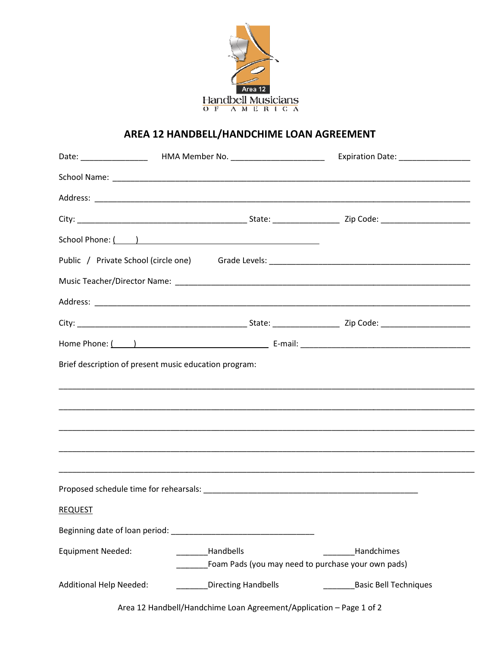

## AREA 12 HANDBELL/HANDCHIME LOAN AGREEMENT

|                          |                                                       | Expiration Date: __________________                                     |
|--------------------------|-------------------------------------------------------|-------------------------------------------------------------------------|
|                          |                                                       |                                                                         |
|                          |                                                       |                                                                         |
|                          |                                                       |                                                                         |
|                          | School Phone: ( )                                     |                                                                         |
|                          |                                                       |                                                                         |
|                          |                                                       |                                                                         |
|                          |                                                       |                                                                         |
|                          |                                                       |                                                                         |
|                          |                                                       |                                                                         |
|                          | Brief description of present music education program: |                                                                         |
|                          |                                                       |                                                                         |
| <b>REQUEST</b>           |                                                       |                                                                         |
|                          |                                                       |                                                                         |
| <b>Equipment Needed:</b> | Handbells                                             | <b>Handchimes</b><br>Foam Pads (you may need to purchase your own pads) |
| Additional Help Needed:  | <b>Directing Handbells</b>                            | <b>Basic Bell Techniques</b>                                            |

Area 12 Handbell/Handchime Loan Agreement/Application - Page 1 of 2